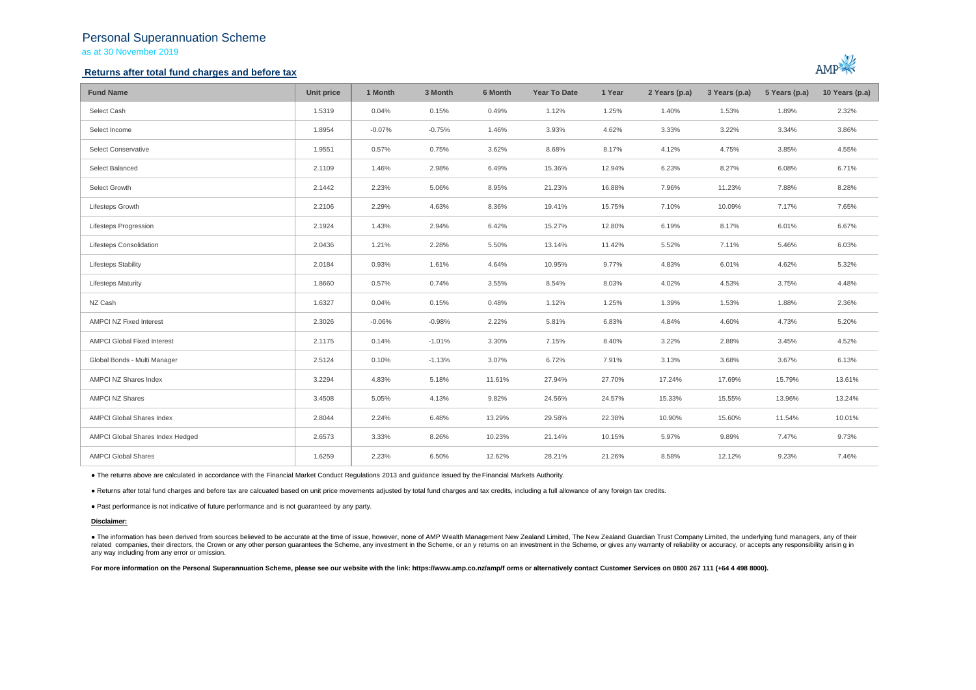## Personal Superannuation Scheme

as at 30 November 2019

## **Returns after total fund charges and before tax**



| <b>Fund Name</b>                   | Unit price | 1 Month  | 3 Month  | 6 Month | <b>Year To Date</b> | 1 Year | 2 Years (p.a) | 3 Years (p.a) | 5 Years (p.a) | 10 Years (p.a) |
|------------------------------------|------------|----------|----------|---------|---------------------|--------|---------------|---------------|---------------|----------------|
| Select Cash                        | 1.5319     | 0.04%    | 0.15%    | 0.49%   | 1.12%               | 1.25%  | 1.40%         | 1.53%         | 1.89%         | 2.32%          |
| Select Income                      | 1.8954     | $-0.07%$ | $-0.75%$ | 1.46%   | 3.93%               | 4.62%  | 3.33%         | 3.22%         | 3.34%         | 3.86%          |
| Select Conservative                | 1.9551     | 0.57%    | 0.75%    | 3.62%   | 8.68%               | 8.17%  | 4.12%         | 4.75%         | 3.85%         | 4.55%          |
| Select Balanced                    | 2.1109     | 1.46%    | 2.98%    | 6.49%   | 15.36%              | 12.94% | 6.23%         | 8.27%         | 6.08%         | 6.71%          |
| Select Growth                      | 2.1442     | 2.23%    | 5.06%    | 8.95%   | 21.23%              | 16.88% | 7.96%         | 11.23%        | 7.88%         | 8.28%          |
| Lifesteps Growth                   | 2.2106     | 2.29%    | 4.63%    | 8.36%   | 19.41%              | 15.75% | 7.10%         | 10.09%        | 7.17%         | 7.65%          |
| Lifesteps Progression              | 2.1924     | 1.43%    | 2.94%    | 6.42%   | 15.27%              | 12.80% | 6.19%         | 8.17%         | 6.01%         | 6.67%          |
| Lifesteps Consolidation            | 2.0436     | 1.21%    | 2.28%    | 5.50%   | 13.14%              | 11.42% | 5.52%         | 7.11%         | 5.46%         | 6.03%          |
| <b>Lifesteps Stability</b>         | 2.0184     | 0.93%    | 1.61%    | 4.64%   | 10.95%              | 9.77%  | 4.83%         | 6.01%         | 4.62%         | 5.32%          |
| <b>Lifesteps Maturity</b>          | 1.8660     | 0.57%    | 0.74%    | 3.55%   | 8.54%               | 8.03%  | 4.02%         | 4.53%         | 3.75%         | 4.48%          |
| NZ Cash                            | 1.6327     | 0.04%    | 0.15%    | 0.48%   | 1.12%               | 1.25%  | 1.39%         | 1.53%         | 1.88%         | 2.36%          |
| <b>AMPCI NZ Fixed Interest</b>     | 2.3026     | $-0.06%$ | $-0.98%$ | 2.22%   | 5.81%               | 6.83%  | 4.84%         | 4.60%         | 4.73%         | 5.20%          |
| <b>AMPCI Global Fixed Interest</b> | 2.1175     | 0.14%    | $-1.01%$ | 3.30%   | 7.15%               | 8.40%  | 3.22%         | 2.88%         | 3.45%         | 4.52%          |
| Global Bonds - Multi Manager       | 2.5124     | 0.10%    | $-1.13%$ | 3.07%   | 6.72%               | 7.91%  | 3.13%         | 3.68%         | 3.67%         | 6.13%          |
| AMPCI NZ Shares Index              | 3.2294     | 4.83%    | 5.18%    | 11.61%  | 27.94%              | 27.70% | 17.24%        | 17.69%        | 15.79%        | 13.61%         |
| <b>AMPCI NZ Shares</b>             | 3.4508     | 5.05%    | 4.13%    | 9.82%   | 24.56%              | 24.57% | 15.33%        | 15.55%        | 13.96%        | 13.24%         |
| AMPCI Global Shares Index          | 2.8044     | 2.24%    | 6.48%    | 13.29%  | 29.58%              | 22.38% | 10.90%        | 15.60%        | 11.54%        | 10.01%         |
| AMPCI Global Shares Index Hedged   | 2.6573     | 3.33%    | 8.26%    | 10.23%  | 21.14%              | 10.15% | 5.97%         | 9.89%         | 7.47%         | 9.73%          |
| <b>AMPCI Global Shares</b>         | 1.6259     | 2.23%    | 6.50%    | 12.62%  | 28.21%              | 21.26% | 8.58%         | 12.12%        | 9.23%         | 7.46%          |

● The returns above are calculated in accordance with the Financial Market Conduct Regulations 2013 and guidance issued by the Financial Markets Authority.

● Returns after total fund charges and before tax are calcuated based on unit price movements adjusted by total fund charges and tax credits, including a full allowance of any foreign tax credits.

● Past performance is not indicative of future performance and is not guaranteed by any party.

### **Disclaimer:**

. The information has been derived from sources believed to be accurate at the time of issue, however, none of AMP Wealth Management New Zealand Limited, The New Zealand Guardian Trust Company Limited, the underlying fund related companies, their directors, the Crown or any other person quarantees the Scheme, any investment in the Scheme, or any returns on an investment in the Scheme, or gives any warranty of reliability or accuracy, or acc any way including from any error or omission.

For more information on the Personal Superannuation Scheme, please see our website with the link: https://www.amp.co.nz/amp/f orms or alternatively contact Customer Services on 0800 267 111 (+64 4 498 8000).